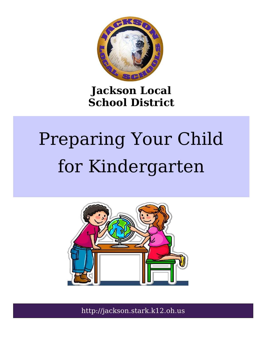

### **Jackson Local School District**

# Preparing Your Child for Kindergarten



http://jackson.stark.k12.oh.us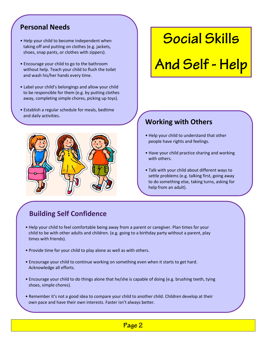#### **Personal Needs**

- Help your child to become independent when taking off and putting on clothes (e.g. jackets, shoes, snap pants, or clothes with zippers).
- Encourage your child to go to the bathroom without help. Teach your child to flush the toilet and wash his/her hands every time.
- Label your child's belongings and allow your child to be responsible for them (e.g. by putting clothes away, completing simple chores, picking up toys).
- Establish a regular schedule for meals, bedtime and daily activities.



### **Social Skills**

# And Self - Help

#### **Working with Others**

- Help your child to understand that other people have rights and feelings.
- Have your child practice sharing and working with others.
- Talk with your child about different ways to settle problems (e.g. talking first, going away to do something else, taking turns, asking for help from an adult).

#### **Building Self Confidence**

- Help your child to feel comfortable being away from a parent or caregiver. Plan times for your child to be with other adults and children. (e.g. going to a birthday party without a parent, play times with friends).
- Provide time for your child to play alone as well as with others.
- Encourage your child to continue working on something even when it starts to get hard. Acknowledge all efforts.
- Encourage your child to do things alone that he/she is capable of doing (e.g. brushing teeth, tying shoes, simple chores).
- Remember it's not a good idea to compare your child to another child. Children develop at their own pace and have their own interests. Faster isn't always better.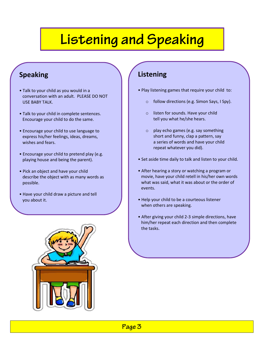# **Listening and Speaking**

#### **Speaking**

- Talk to your child as you would in a conversation with an adult. PLEASE DO NOT USE BABY TALK.
- Talk to your child in complete sentences. Encourage your child to do the same.
- Encourage your child to use language to express his/her feelings, ideas, dreams, wishes and fears.
- Encourage your child to pretend play (e.g. playing house and being the parent).
- Pick an object and have your child describe the object with as many words as possible.
- Have your child draw a picture and tell you about it.

#### **Listening**

- Play listening games that require your child to:
	- o follow directions (e.g. Simon Says, I Spy).
	- o listen for sounds. Have your child tell you what he/she hears.
	- o play echo games (e.g. say something short and funny, clap a pattern, say a series of words and have your child repeat whatever you did).
- Set aside time daily to talk and listen to your child.
- After hearing a story or watching a program or movie, have your child retell in his/her own words what was said, what it was about or the order of events.
- Help your child to be a courteous listener when others are speaking.
- After giving your child 2-3 simple directions, have him/her repeat each direction and then complete the tasks.

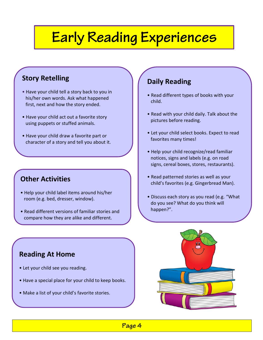# Early Reading Experiences

#### **Story Retelling**

- Have your child tell a story back to you in his/her own words. Ask what happened first, next and how the story ended.
- Have your child act out a favorite story using puppets or stuffed animals.
- Have your child draw a favorite part or character of a story and tell you about it.

#### **Other Activities**

• Put on family plays.

- Help your child label items around his/her room (e.g. bed, dresser, window).
- Read different versions of familiar stories and compare how they are alike and different.

#### **Daily Reading**

- Read different types of books with your child.
- Read with your child daily. Talk about the pictures before reading.
- Let your child select books. Expect to read favorites many times!
- Help your child recognize/read familiar notices, signs and labels (e.g. on road signs, cereal boxes, stores, restaurants).
- Read patterned stories as well as your child's favorites (e.g. Gingerbread Man).
- Discuss each story as you read (e.g. "What do you see? What do you think will happen?".

#### **Reading At Home**

- Let your child see you reading.
- Have a special place for your child to keep books.
- Make a list of your child's favorite stories.



Page 4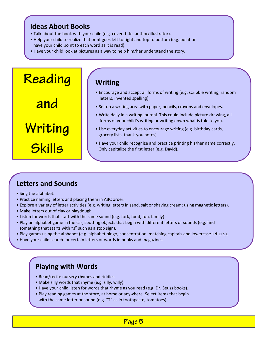#### **Ideas About Books**

- Talk about the book with your child (e.g. cover, title, author/illustrator).
- Help your child to realize that print goes left to right and top to bottom (e.g. point or have your child point to each word as it is read).
- Have your child look at pictures as a way to help him/her understand the story.



#### **Letters and Sounds**

- Sing the alphabet.
- Practice naming letters and placing them in ABC order.
- Explore a variety of letter activities (e.g. writing letters in sand, salt or shaving cream; using magnetic letters).
- Make letters out of clay or playdough.
- Listen for words that start with the same sound (e.g. fork, food, fun, family).
- Play an alphabet game in the car, spotting objects that begin with different letters or sounds (e.g. find something that starts with "s" such as a stop sign).
- Play games using the alphabet (e.g. alphabet bingo, concentration, matching capitals and lowercase letters).
- Have your child search for certain letters or words in books and magazines.

#### **Playing with Words**

- Read/recite nursery rhymes and riddles.
- Make silly words that rhyme (e.g. silly, willy).
- Have your child listen for words that rhyme as you read (e.g. Dr. Seuss books).
- Play reading games at the store, at home or anywhere. Select items that begin with the same letter or sound (e.g. "T" as in toothpaste, tomatoes).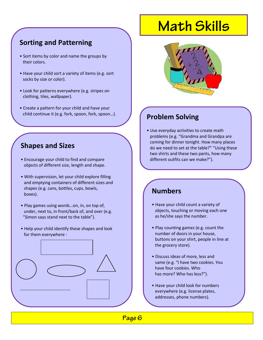#### **Sorting and Patterning**

- Sort items by color and name the groups by their colors.
- Have your child sort a variety of items (e.g. sort socks by size or color).
- Look for patterns everywhere (e.g. stripes on clothing, tiles, wallpaper).
- Create a pattern for your child and have your child continue it (e.g. fork, spoon, fork, spoon…).

#### **Shapes and Sizes**

- Encourage your child to find and compare objects of different size, length and shape.
- With supervision, let your child explore filling and emptying containers of different sizes and shapes (e.g. cans, bottles, cups, bowls, boxes).
- Play games using words…on, in, on top of, under, next to, in front/back of, and over (e.g. "Simon says stand next to the table").
- Help your child identify these shapes and look for them everywhere :

### **Math Skills**



#### **Problem Solving**

• Use everyday activities to create math problems (e.g. "Grandma and Grandpa are coming for dinner tonight. How many places do we need to set at the table?" "Using these two shirts and these two pants, how many different outfits can we make?").

#### **Numbers**

- Have your child count a variety of objects, touching or moving each one as he/she says the number.
- Play counting games (e.g. count the number of doors in your house, buttons on your shirt, people in line at the grocery store).
- Discuss ideas of more, less and same (e.g. "I have two cookies. You have four cookies. Who has more? Who has less?").
- Have your child look for numbers everywhere (e.g. license plates, addresses, phone numbers).

Page 6